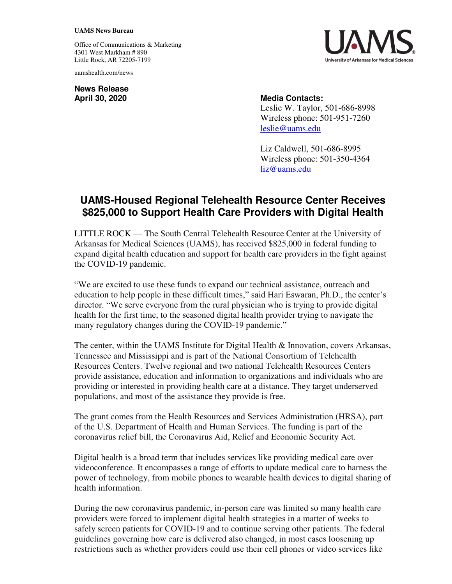## **UAMS News Bureau**

Office of Communications & Marketing 4301 West Markham # 890 Little Rock, AR 72205-7199

uamshealth.com/news

**News Release**

**April 30, 2020 Media Contacts:**  Leslie W. Taylor, 501-686-8998 Wireless phone: 501-951-7260

> Liz Caldwell, 501-686-8995 Wireless phone: 501-350-4364 [liz@uams.edu](mailto:liz@uams.edu)

[leslie@uams.edu](mailto:leslie@uams.edu)

## **UAMS-Housed Regional Telehealth Resource Center Receives \$825,000 to Support Health Care Providers with Digital Health**

LITTLE ROCK — The South Central Telehealth Resource Center at the University of Arkansas for Medical Sciences (UAMS), has received \$825,000 in federal funding to expand digital health education and support for health care providers in the fight against the COVID-19 pandemic.

"We are excited to use these funds to expand our technical assistance, outreach and education to help people in these difficult times," said Hari Eswaran, Ph.D., the center's director. "We serve everyone from the rural physician who is trying to provide digital health for the first time, to the seasoned digital health provider trying to navigate the many regulatory changes during the COVID-19 pandemic."

The center, within the UAMS Institute for Digital Health & Innovation, covers Arkansas, Tennessee and Mississippi and is part of the National Consortium of Telehealth Resources Centers. Twelve regional and two national Telehealth Resources Centers provide assistance, education and information to organizations and individuals who are providing or interested in providing health care at a distance. They target underserved populations, and most of the assistance they provide is free.

The grant comes from the Health Resources and Services Administration (HRSA), part of the U.S. Department of Health and Human Services. The funding is part of the coronavirus relief bill, the Coronavirus Aid, Relief and Economic Security Act.

Digital health is a broad term that includes services like providing medical care over videoconference. It encompasses a range of efforts to update medical care to harness the power of technology, from mobile phones to wearable health devices to digital sharing of health information.

During the new coronavirus pandemic, in-person care was limited so many health care providers were forced to implement digital health strategies in a matter of weeks to safely screen patients for COVID-19 and to continue serving other patients. The federal guidelines governing how care is delivered also changed, in most cases loosening up restrictions such as whether providers could use their cell phones or video services like